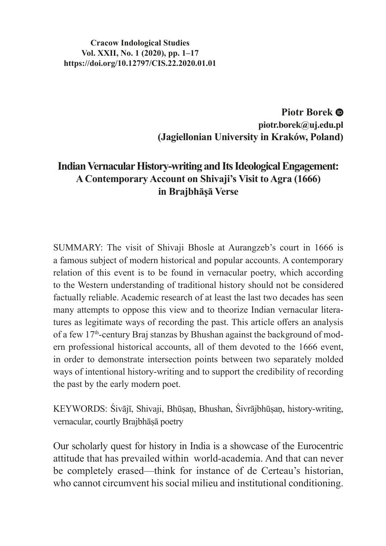**Cracow Indological Studies Vol. XXII, No. 1 (2020), pp. 1–17 https://doi.org/10.12797/CIS.22.2020.01.01**

> **Piotr Borek piotr.borek@uj.edu.pl (Jagiellonian University in Kraków, Poland)**

# **Indian Vernacular History-writing and Its Ideological Engagement: A Contemporary Account on Shivaji's Visit to Agra (1666) in Brajbhāṣā Verse**

SUMMARY: The visit of Shivaji Bhosle at Aurangzeb's court in 1666 is a famous subject of modern historical and popular accounts. A contemporary relation of this event is to be found in vernacular poetry, which according to the Western understanding of traditional history should not be considered factually reliable. Academic research of at least the last two decades has seen many attempts to oppose this view and to theorize Indian vernacular literatures as legitimate ways of recording the past. This article offers an analysis of a few 17<sup>th</sup>-century Braj stanzas by Bhushan against the background of modern professional historical accounts, all of them devoted to the 1666 event, in order to demonstrate intersection points between two separately molded ways of intentional history-writing and to support the credibility of recording the past by the early modern poet.

KEYWORDS: Śivājī, Shivaji, Bhūṣaṇ, Bhushan, Śivrājbhūṣaṇ, history-writing, vernacular, courtly Brajbhāsā poetry

Our scholarly quest for history in India is a showcase of the Eurocentric attitude that has prevailed within world-academia. And that can never be completely erased—think for instance of de Certeau's historian, who cannot circumvent his social milieu and institutional conditioning.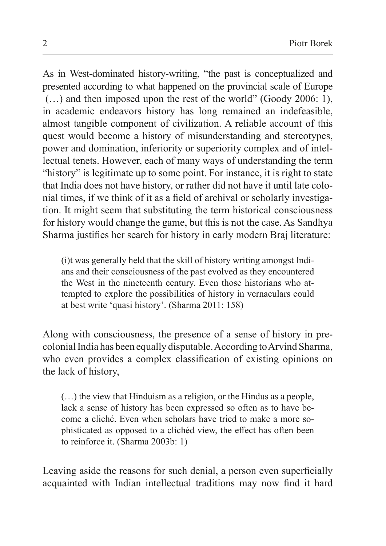As in West-dominated history-writing, "the past is conceptualized and presented according to what happened on the provincial scale of Europe (…) and then imposed upon the rest of the world" (Goody 2006: 1), in academic endeavors history has long remained an indefeasible, almost tangible component of civilization. A reliable account of this quest would become a history of misunderstanding and stereotypes, power and domination, inferiority or superiority complex and of intellectual tenets. However, each of many ways of understanding the term "history" is legitimate up to some point. For instance, it is right to state that India does not have history, or rather did not have it until late colonial times, if we think of it as a field of archival or scholarly investigation. It might seem that substituting the term historical consciousness for history would change the game, but this is not the case. As Sandhya Sharma justifies her search for history in early modern Braj literature:

(i)t was generally held that the skill of history writing amongst Indians and their consciousness of the past evolved as they encountered the West in the nineteenth century. Even those historians who attempted to explore the possibilities of history in vernaculars could at best write 'quasi history'. (Sharma 2011: 158)

Along with consciousness, the presence of a sense of history in precolonial India has been equally disputable. According to Arvind Sharma, who even provides a complex classification of existing opinions on the lack of history,

(…) the view that Hinduism as a religion, or the Hindus as a people, lack a sense of history has been expressed so often as to have become a cliché. Even when scholars have tried to make a more sophisticated as opposed to a clichéd view, the effect has often been to reinforce it. (Sharma 2003b: 1)

Leaving aside the reasons for such denial, a person even superficially acquainted with Indian intellectual traditions may now find it hard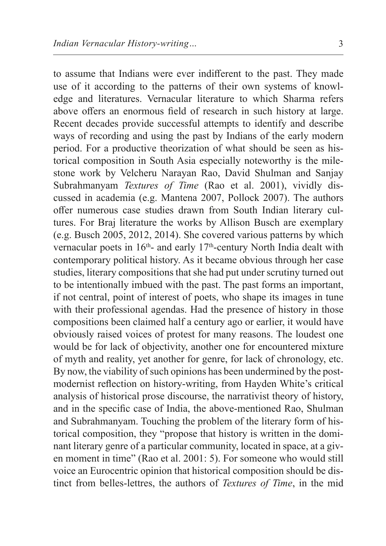to assume that Indians were ever indifferent to the past. They made use of it according to the patterns of their own systems of knowledge and literatures. Vernacular literature to which Sharma refers above offers an enormous field of research in such history at large. Recent decades provide successful attempts to identify and describe ways of recording and using the past by Indians of the early modern period. For a productive theorization of what should be seen as historical composition in South Asia especially noteworthy is the milestone work by Velcheru Narayan Rao, David Shulman and Sanjay Subrahmanyam *Textures of Time* (Rao et al. 2001), vividly discussed in academia (e.g. Mantena 2007, Pollock 2007). The authors offer numerous case studies drawn from South Indian literary cultures. For Braj literature the works by Allison Busch are exemplary (e.g. Busch 2005, 2012, 2014). She covered various patterns by which vernacular poets in  $16<sup>th</sup>$ - and early 17<sup>th</sup>-century North India dealt with contemporary political history. As it became obvious through her case studies, literary compositions that she had put under scrutiny turned out to be intentionally imbued with the past. The past forms an important, if not central, point of interest of poets, who shape its images in tune with their professional agendas. Had the presence of history in those compositions been claimed half a century ago or earlier, it would have obviously raised voices of protest for many reasons. The loudest one would be for lack of objectivity, another one for encountered mixture of myth and reality, yet another for genre, for lack of chronology, etc. By now, the viability of such opinions has been undermined by the postmodernist reflection on history-writing, from Hayden White's critical analysis of historical prose discourse, the narrativist theory of history, and in the specific case of India, the above-mentioned Rao, Shulman and Subrahmanyam. Touching the problem of the literary form of historical composition, they "propose that history is written in the dominant literary genre of a particular community, located in space, at a given moment in time" (Rao et al. 2001: 5). For someone who would still voice an Eurocentric opinion that historical composition should be distinct from belles-lettres, the authors of *Textures of Time*, in the mid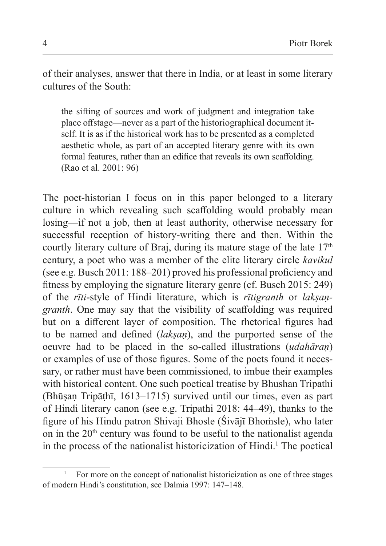of their analyses, answer that there in India, or at least in some literary cultures of the South:

the sifting of sources and work of judgment and integration take place offstage—never as a part of the historiographical document itself. It is as if the historical work has to be presented as a completed aesthetic whole, as part of an accepted literary genre with its own formal features, rather than an edifice that reveals its own scaffolding. (Rao et al. 2001: 96)

The poet-historian I focus on in this paper belonged to a literary culture in which revealing such scaffolding would probably mean losing—if not a job, then at least authority, otherwise necessary for successful reception of history-writing there and then. Within the courtly literary culture of Braj, during its mature stage of the late  $17<sup>th</sup>$ century, a poet who was a member of the elite literary circle *kavikul* (see e.g. Busch 2011: 188–201) proved his professional proficiency and fitness by employing the signature literary genre (cf. Busch 2015: 249) of the *rīti*-style of Hindi literature, which is *rītigranth* or *lakṣaṇgranth*. One may say that the visibility of scaffolding was required but on a different layer of composition. The rhetorical figures had to be named and defined (*lakṣaṇ*), and the purported sense of the oeuvre had to be placed in the so-called illustrations (*udahāraṇ*) or examples of use of those figures. Some of the poets found it necessary, or rather must have been commissioned, to imbue their examples with historical content. One such poetical treatise by Bhushan Tripathi (Bhūṣaṇ Tripāṭhī, 1613–1715) survived until our times, even as part of Hindi literary canon (see e.g. Tripathi 2018: 44–49), thanks to the figure of his Hindu patron Shivaji Bhosle (Śivājī Bhoṁsle), who later on in the  $20<sup>th</sup>$  century was found to be useful to the nationalist agenda in the process of the nationalist historicization of Hindi.<sup>1</sup> The poetical

<sup>1</sup> For more on the concept of nationalist historicization as one of three stages of modern Hindi's constitution, see Dalmia 1997: 147–148.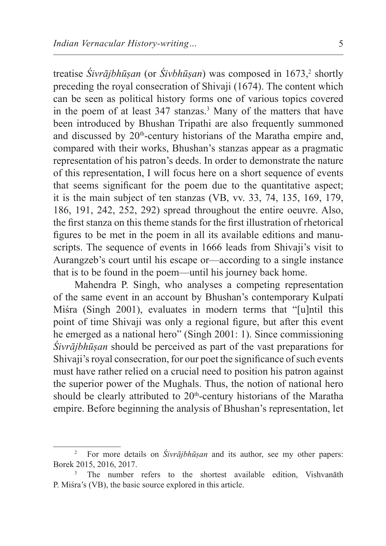treatise *Sivrājbhūṣan* (or *Sivbhūṣan*) was composed in 1673,<sup>2</sup> shortly preceding the royal consecration of Shivaji (1674). The content which can be seen as political history forms one of various topics covered in the poem of at least 347 stanzas.<sup>3</sup> Many of the matters that have been introduced by Bhushan Tripathi are also frequently summoned and discussed by 20<sup>th</sup>-century historians of the Maratha empire and, compared with their works, Bhushan's stanzas appear as a pragmatic representation of his patron's deeds. In order to demonstrate the nature of this representation, I will focus here on a short sequence of events that seems significant for the poem due to the quantitative aspect; it is the main subject of ten stanzas (VB, vv. 33, 74, 135, 169, 179, 186, 191, 242, 252, 292) spread throughout the entire oeuvre. Also, the first stanza on this theme stands for the first illustration of rhetorical figures to be met in the poem in all its available editions and manuscripts. The sequence of events in 1666 leads from Shivaji's visit to Aurangzeb's court until his escape or—according to a single instance that is to be found in the poem—until his journey back home.

Mahendra P. Singh, who analyses a competing representation of the same event in an account by Bhushan's contemporary Kulpati Miśra (Singh 2001), evaluates in modern terms that "[u]ntil this point of time Shivaji was only a regional figure, but after this event he emerged as a national hero" (Singh 2001: 1). Since commissioning *Śivrājbhūṣan* should be perceived as part of the vast preparations for Shivaji's royal consecration, for our poet the significance of such events must have rather relied on a crucial need to position his patron against the superior power of the Mughals. Thus, the notion of national hero should be clearly attributed to  $20<sup>th</sup>$ -century historians of the Maratha empire. Before beginning the analysis of Bhushan's representation, let

<sup>2</sup> For more details on *Śivrājbhūṣan* and its author, see my other papers: Borek 2015, 2016, 2017.

<sup>&</sup>lt;sup>3</sup> The number refers to the shortest available edition, Vishvanāth P. Miśra's (VB), the basic source explored in this article.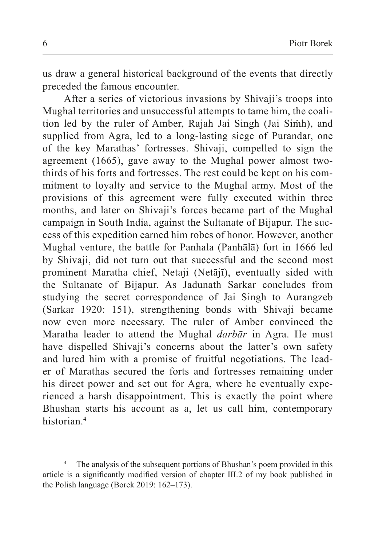us draw a general historical background of the events that directly preceded the famous encounter.

After a series of victorious invasions by Shivaji's troops into Mughal territories and unsuccessful attempts to tame him, the coalition led by the ruler of Amber, Rajah Jai Singh (Jai Siṁh), and supplied from Agra, led to a long-lasting siege of Purandar, one of the key Marathas' fortresses. Shivaji, compelled to sign the agreement (1665), gave away to the Mughal power almost twothirds of his forts and fortresses. The rest could be kept on his commitment to loyalty and service to the Mughal army. Most of the provisions of this agreement were fully executed within three months, and later on Shivaji's forces became part of the Mughal campaign in South India, against the Sultanate of Bijapur. The success of this expedition earned him robes of honor. However, another Mughal venture, the battle for Panhala (Panhālā) fort in 1666 led by Shivaji, did not turn out that successful and the second most prominent Maratha chief, Netaji (Netājī), eventually sided with the Sultanate of Bijapur. As Jadunath Sarkar concludes from studying the secret correspondence of Jai Singh to Aurangzeb (Sarkar 1920: 151), strengthening bonds with Shivaji became now even more necessary. The ruler of Amber convinced the Maratha leader to attend the Mughal *darbār* in Agra. He must have dispelled Shivaji's concerns about the latter's own safety and lured him with a promise of fruitful negotiations. The leader of Marathas secured the forts and fortresses remaining under his direct power and set out for Agra, where he eventually experienced a harsh disappointment. This is exactly the point where Bhushan starts his account as a, let us call him, contemporary historian<sup>4</sup>

The analysis of the subsequent portions of Bhushan's poem provided in this article is a significantly modified version of chapter III.2 of my book published in the Polish language (Borek 2019: 162–173).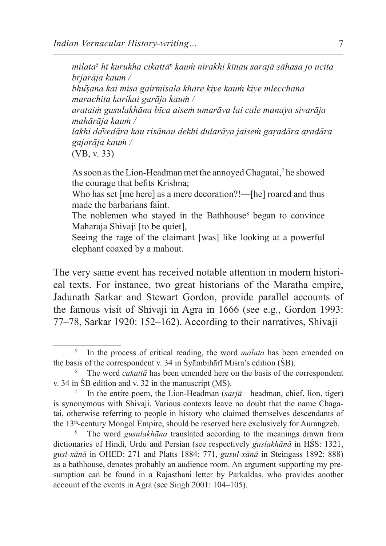*milata*<sup>5</sup>  *hī kurukha cikattā*<sup>6</sup>  *kauṁ nirakhi kīnau sarajā sāhasa jo ucita br̥jarāja kauṁ /*

*bhūṣana kai misa gairmisala khare kiye kauṁ kiye mlecchana murachita karikai garāja kauṁ /* 

*arataiṁ gusulakhāna bīca aiseṁ umarāva lai cale manāya sivarāja mahārāja kauṁ /*

*lakhi dāvedāra kau risānau dekhi dularāya jaiseṁ gaṛadāra aṛadāra gajarāja kauṁ /*

(VB, v. 33)

Assoon asthe Lion-Headman met the annoyed Chagatai,<sup>7</sup> he showed the courage that befits Krishna;

Who has set [me here] as a mere decoration?!—[he] roared and thus made the barbarians faint.

The noblemen who stayed in the Bathhouse $\delta$  began to convince Maharaja Shivaji [to be quiet],

Seeing the rage of the claimant [was] like looking at a powerful elephant coaxed by a mahout.

The very same event has received notable attention in modern historical texts. For instance, two great historians of the Maratha empire, Jadunath Sarkar and Stewart Gordon, provide parallel accounts of the famous visit of Shivaji in Agra in 1666 (see e.g., Gordon 1993: 77–78, Sarkar 1920: 152–162). According to their narratives, Shivaji

<sup>5</sup> In the process of critical reading, the word *malata* has been emended on the basis of the correspondent v. 34 in Śyāmbihārī Miśra's edition (ŚB).

The word *cakattā* has been emended here on the basis of the correspondent v. 34 in ŚB edition and v. 32 in the manuscript (MS).

<sup>7</sup> In the entire poem, the Lion-Headman (*sarjā*—headman, chief, lion, tiger) is synonymous with Shivaji. Various contexts leave no doubt that the name Chagatai, otherwise referring to people in history who claimed themselves descendants of the 13th-century Mongol Empire, should be reserved here exclusively for Aurangzeb.

The word *gusulakhāna* translated according to the meanings drawn from dictionaries of Hindi, Urdu and Persian (see respectively *guslakhānā* in HŚS: 1321, *gusl-xānā* in OHED: 271 and Platts 1884: 771, *gusul-xānā* in Steingass 1892: 888) as a bathhouse, denotes probably an audience room. An argument supporting my presumption can be found in a Rajasthani letter by Parkaldas, who provides another account of the events in Agra (see Singh 2001: 104–105).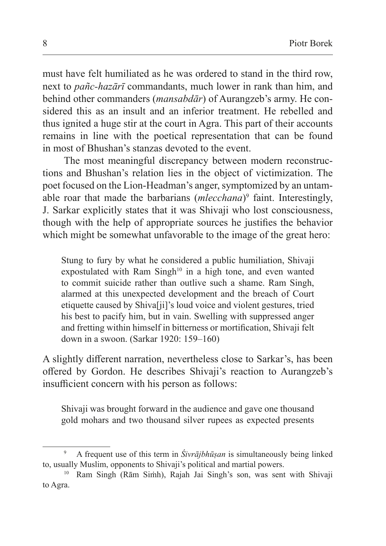must have felt humiliated as he was ordered to stand in the third row, next to *pañc-hazārī* commandants, much lower in rank than him, and behind other commanders (*mansabdār*) of Aurangzeb's army. He considered this as an insult and an inferior treatment. He rebelled and thus ignited a huge stir at the court in Agra. This part of their accounts remains in line with the poetical representation that can be found in most of Bhushan's stanzas devoted to the event.

The most meaningful discrepancy between modern reconstructions and Bhushan's relation lies in the object of victimization. The poet focused on the Lion-Headman's anger, symptomized by an untamable roar that made the barbarians (*mlecchana*)<sup>9</sup> faint. Interestingly, J. Sarkar explicitly states that it was Shivaji who lost consciousness, though with the help of appropriate sources he justifies the behavior which might be somewhat unfavorable to the image of the great hero:

Stung to fury by what he considered a public humiliation, Shivaji expostulated with Ram Singh<sup>10</sup> in a high tone, and even wanted to commit suicide rather than outlive such a shame. Ram Singh, alarmed at this unexpected development and the breach of Court etiquette caused by Shiva[ji]'s loud voice and violent gestures, tried his best to pacify him, but in vain. Swelling with suppressed anger and fretting within himself in bitterness or mortification, Shivaji felt down in a swoon. (Sarkar 1920: 159–160)

A slightly different narration, nevertheless close to Sarkar's, has been offered by Gordon. He describes Shivaji's reaction to Aurangzeb's insufficient concern with his person as follows:

Shivaji was brought forward in the audience and gave one thousand gold mohars and two thousand silver rupees as expected presents

<sup>9</sup> A frequent use of this term in *Śivrājbhūṣan* is simultaneously being linked to, usually Muslim, opponents to Shivaji's political and martial powers.

<sup>10</sup> Ram Singh (Rām Siṁh), Rajah Jai Singh's son, was sent with Shivaji to Agra.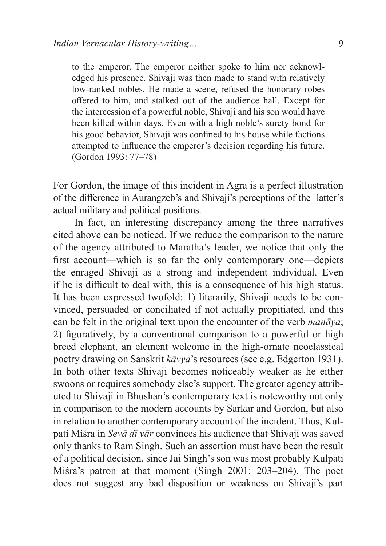to the emperor. The emperor neither spoke to him nor acknowledged his presence. Shivaji was then made to stand with relatively low-ranked nobles. He made a scene, refused the honorary robes offered to him, and stalked out of the audience hall. Except for the intercession of a powerful noble, Shivaji and his son would have been killed within days. Even with a high noble's surety bond for his good behavior, Shivaji was confined to his house while factions attempted to influence the emperor's decision regarding his future. (Gordon 1993: 77–78)

For Gordon, the image of this incident in Agra is a perfect illustration of the difference in Aurangzeb's and Shivaji's perceptions of the latter's actual military and political positions.

In fact, an interesting discrepancy among the three narratives cited above can be noticed. If we reduce the comparison to the nature of the agency attributed to Maratha's leader, we notice that only the first account—which is so far the only contemporary one—depicts the enraged Shivaji as a strong and independent individual. Even if he is difficult to deal with, this is a consequence of his high status. It has been expressed twofold: 1) literarily, Shivaji needs to be convinced, persuaded or conciliated if not actually propitiated, and this can be felt in the original text upon the encounter of the verb *manāya*; 2) figuratively, by a conventional comparison to a powerful or high breed elephant, an element welcome in the high-ornate neoclassical poetry drawing on Sanskrit *kāvya*'s resources (see e.g. Edgerton 1931). In both other texts Shivaji becomes noticeably weaker as he either swoons or requires somebody else's support. The greater agency attributed to Shivaji in Bhushan's contemporary text is noteworthy not only in comparison to the modern accounts by Sarkar and Gordon, but also in relation to another contemporary account of the incident. Thus, Kulpati Miśra in *Sevā dī vār* convinces his audience that Shivaji was saved only thanks to Ram Singh. Such an assertion must have been the result of a political decision, since Jai Singh's son was most probably Kulpati Miśra's patron at that moment (Singh 2001: 203–204). The poet does not suggest any bad disposition or weakness on Shivaji's part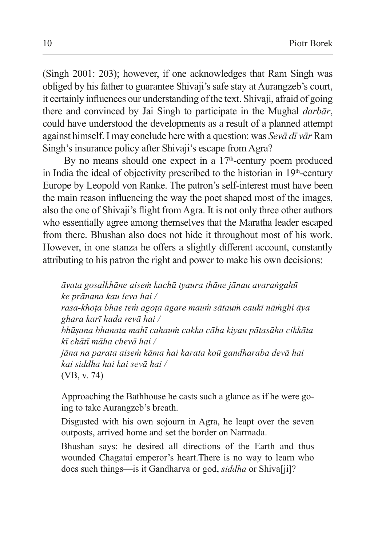(Singh 2001: 203); however, if one acknowledges that Ram Singh was obliged by his father to guarantee Shivaji's safe stay at Aurangzeb's court, it certainly influences our understanding ofthe text. Shivaji, afraid of going there and convinced by Jai Singh to participate in the Mughal *darbār*, could have understood the developments as a result of a planned attempt against himself. I may conclude here with a question: was *Sevā dī vār* Ram Singh's insurance policy after Shivaji's escape from Agra?

By no means should one expect in a  $17<sup>th</sup>$ -century poem produced in India the ideal of objectivity prescribed to the historian in  $19<sup>th</sup>$ -century Europe by Leopold von Ranke. The patron's self-interest must have been the main reason influencing the way the poet shaped most of the images, also the one of Shivaji's flight from Agra. It is not only three other authors who essentially agree among themselves that the Maratha leader escaped from there. Bhushan also does not hide it throughout most of his work. However, in one stanza he offers a slightly different account, constantly attributing to his patron the right and power to make his own decisions:

*āvata gosalkhāne aiseṁ kachū tyaura ṭhāne jānau avaraṅgahū ke prānana kau leva hai / rasa-khoṭa bhae teṁ agoṭa āgare mauṁ sātauṁ caukī nāṁghi āya ghara karī hada revā hai / bhūṣana bhanata mahī cahauṁ cakka cāha kiyau pātasāha cikkāta kī chātī māha chevā hai / jāna na parata aiseṁ kāma hai karata koū gandharaba devā hai kai siddha hai kai sevā hai /* (VB, v. 74)

Approaching the Bathhouse he casts such a glance as if he were going to take Aurangzeb's breath.

Disgusted with his own sojourn in Agra, he leapt over the seven outposts, arrived home and set the border on Narmada.

Bhushan says: he desired all directions of the Earth and thus wounded Chagatai emperor's heart.There is no way to learn who does such things—is it Gandharva or god, *siddha* or Shiva[ji]?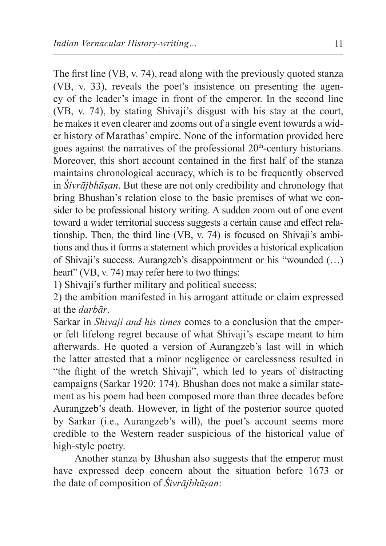The first line (VB, v. 74), read along with the previously quoted stanza (VB, v. 33), reveals the poet's insistence on presenting the agency of the leader's image in front of the emperor. In the second line (VB, v. 74), by stating Shivaji's disgust with his stay at the court, he makes it even clearer and zooms out of a single event towards a wider history of Marathas' empire. None of the information provided here goes against the narratives of the professional 20<sup>th</sup>-century historians. Moreover, this short account contained in the first half of the stanza maintains chronological accuracy, which is to be frequently observed in *Śivrājbhūṣan*. But these are not only credibility and chronology that bring Bhushan's relation close to the basic premises of what we consider to be professional history writing. A sudden zoom out of one event toward a wider territorial success suggests a certain cause and effect relationship. Then, the third line (VB, v. 74) is focused on Shivaji's ambitions and thus it forms a statement which provides a historical explication of Shivaji's success. Aurangzeb's disappointment or his "wounded (…) heart" (VB, v. 74) may refer here to two things:

1) Shivaji's further military and political success;

2) the ambition manifested in his arrogant attitude or claim expressed at the *darbār*.

Sarkar in *Shivaji and his times* comes to a conclusion that the emperor felt lifelong regret because of what Shivaji's escape meant to him afterwards. He quoted a version of Aurangzeb's last will in which the latter attested that a minor negligence or carelessness resulted in "the flight of the wretch Shivaji", which led to years of distracting campaigns (Sarkar 1920: 174). Bhushan does not make a similar statement as his poem had been composed more than three decades before Aurangzeb's death. However, in light of the posterior source quoted by Sarkar (i.e., Aurangzeb's will), the poet's account seems more credible to the Western reader suspicious of the historical value of high-style poetry.

Another stanza by Bhushan also suggests that the emperor must have expressed deep concern about the situation before 1673 or the date of composition of *Śivrājbhūṣan*: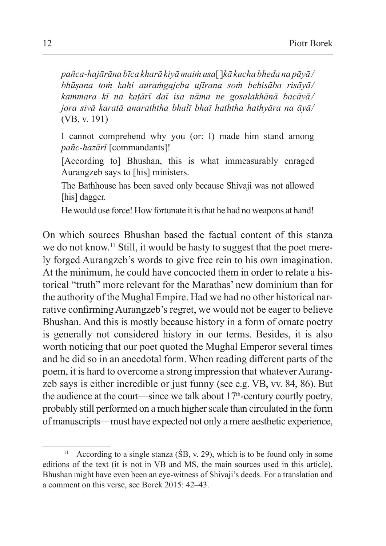*pañca-hajārāna bīca kharā kiyā maiṁ usa*[ ]*kā kucha bheda na pāyā / bhūṣana toṁ kahi auraṁgajeba ujīrana soṁ behisāba risāyā/ kammara kī na kaṭārī daī isa nāma ne gosalakhānā bacāyā / jora sivā karatā anaraththa bhalī bhaī haththa hathyāra na āyā/* (VB, v. 191)

I cannot comprehend why you (or: I) made him stand among *pañc-hazārī* [commandants]!

[According to] Bhushan, this is what immeasurably enraged Aurangzeb says to [his] ministers.

The Bathhouse has been saved only because Shivaji was not allowed [his] dagger.

He would use force! How fortunate it is that he had no weapons at hand!

On which sources Bhushan based the factual content of this stanza we do not know.11 Still, it would be hasty to suggest that the poet merely forged Aurangzeb's words to give free rein to his own imagination. At the minimum, he could have concocted them in order to relate a historical "truth" more relevant for the Marathas' new dominium than for the authority of the Mughal Empire. Had we had no other historical narrative confirming Aurangzeb's regret, we would not be eager to believe Bhushan. And this is mostly because history in a form of ornate poetry is generally not considered history in our terms. Besides, it is also worth noticing that our poet quoted the Mughal Emperor several times and he did so in an anecdotal form. When reading different parts of the poem, it is hard to overcome a strong impression that whatever Aurangzeb says is either incredible or just funny (see e.g. VB, vv. 84, 86). But the audience at the court—since we talk about  $17<sup>th</sup>$ -century courtly poetry, probably still performed on a much higher scale than circulated in the form of manuscripts—must have expected not only a mere aesthetic experience,

<sup>&</sup>lt;sup>11</sup> According to a single stanza ( $\overline{SB}$ , v. 29), which is to be found only in some editions of the text (it is not in VB and MS, the main sources used in this article), Bhushan might have even been an eye-witness of Shivaji's deeds. For a translation and a comment on this verse, see Borek 2015: 42–43.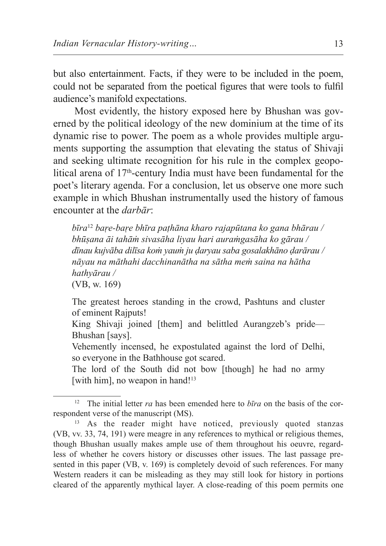but also entertainment. Facts, if they were to be included in the poem, could not be separated from the poetical figures that were tools to fulfil audience's manifold expectations.

Most evidently, the history exposed here by Bhushan was governed by the political ideology of the new dominium at the time of its dynamic rise to power. The poem as a whole provides multiple arguments supporting the assumption that elevating the status of Shivaji and seeking ultimate recognition for his rule in the complex geopolitical arena of 17<sup>th</sup>-century India must have been fundamental for the poet's literary agenda. For a conclusion, let us observe one more such example in which Bhushan instrumentally used the history of famous encounter at the *darbār*:

*bīra*<sup>12</sup> *baṛe-baṛe bhīra paṭhāna kharo rajapūtana ko gana bhārau / bhūṣana āi tahāṁ sivasāha liyau hari auraṁgasāha ko gārau / dīnau kujvāba dilīsa koṁ yauṁ ju ḍaryau saba gosalakhāno ḍarārau / nāyau na māthahi dacchinanātha na sātha meṁ saina na hātha hathyārau /* (VB, w. 169)

The greatest heroes standing in the crowd, Pashtuns and cluster of eminent Rajputs!

King Shivaji joined [them] and belittled Aurangzeb's pride— Bhushan [says].

Vehemently incensed, he expostulated against the lord of Delhi, so everyone in the Bathhouse got scared.

The lord of the South did not bow [though] he had no army [with him], no weapon in hand!<sup>13</sup>

<sup>12</sup> The initial letter *ra* has been emended here to *bīra* on the basis of the correspondent verse of the manuscript (MS).

<sup>&</sup>lt;sup>13</sup> As the reader might have noticed, previously quoted stanzas (VB, vv. 33, 74, 191) were meagre in any references to mythical or religious themes, though Bhushan usually makes ample use of them throughout his oeuvre, regardless of whether he covers history or discusses other issues. The last passage presented in this paper (VB, v. 169) is completely devoid of such references. For many Western readers it can be misleading as they may still look for history in portions cleared of the apparently mythical layer. A close-reading of this poem permits one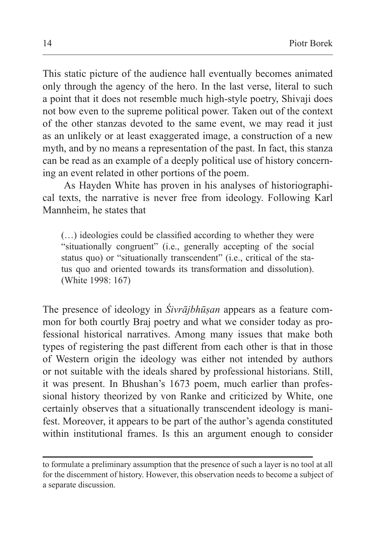This static picture of the audience hall eventually becomes animated only through the agency of the hero. In the last verse, literal to such a point that it does not resemble much high-style poetry, Shivaji does not bow even to the supreme political power. Taken out of the context of the other stanzas devoted to the same event, we may read it just as an unlikely or at least exaggerated image, a construction of a new myth, and by no means a representation of the past. In fact, this stanza can be read as an example of a deeply political use of history concerning an event related in other portions of the poem.

As Hayden White has proven in his analyses of historiographical texts, the narrative is never free from ideology. Following Karl Mannheim, he states that

(…) ideologies could be classified according to whether they were "situationally congruent" (i.e., generally accepting of the social status quo) or "situationally transcendent" (i.e., critical of the status quo and oriented towards its transformation and dissolution). (White 1998: 167)

The presence of ideology in *Śivrājbhūṣan* appears as a feature common for both courtly Braj poetry and what we consider today as professional historical narratives. Among many issues that make both types of registering the past different from each other is that in those of Western origin the ideology was either not intended by authors or not suitable with the ideals shared by professional historians. Still, it was present. In Bhushan's 1673 poem, much earlier than professional history theorized by von Ranke and criticized by White, one certainly observes that a situationally transcendent ideology is manifest. Moreover, it appears to be part of the author's agenda constituted within institutional frames. Is this an argument enough to consider

to formulate a preliminary assumption that the presence of such a layer is no tool at all for the discernment of history. However, this observation needs to become a subject of a separate discussion.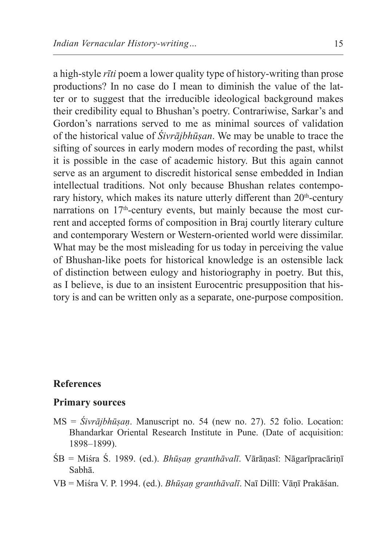a high-style *rīti* poem a lower quality type of history-writing than prose productions? In no case do I mean to diminish the value of the latter or to suggest that the irreducible ideological background makes their credibility equal to Bhushan's poetry. Contrariwise, Sarkar's and Gordon's narrations served to me as minimal sources of validation of the historical value of *Śivrājbhūṣan*. We may be unable to trace the sifting of sources in early modern modes of recording the past, whilst it is possible in the case of academic history. But this again cannot serve as an argument to discredit historical sense embedded in Indian intellectual traditions. Not only because Bhushan relates contemporary history, which makes its nature utterly different than 20<sup>th</sup>-century narrations on 17<sup>th</sup>-century events, but mainly because the most current and accepted forms of composition in Braj courtly literary culture and contemporary Western or Western-oriented world were dissimilar. What may be the most misleading for us today in perceiving the value of Bhushan-like poets for historical knowledge is an ostensible lack of distinction between eulogy and historiography in poetry. But this, as I believe, is due to an insistent Eurocentric presupposition that history is and can be written only as a separate, one-purpose composition.

## **References**

#### **Primary sources**

- MS = *Śivrājbhūṣaṇ*. Manuscript no. 54 (new no. 27). 52 folio. Location: Bhandarkar Oriental Research Institute in Pune. (Date of acquisition: 1898–1899).
- ŚB = Miśra Ś. 1989. (ed.). *Bhūṣaṇ granthāvalī*. Vārāṇasī: Nāgarīpracāriṇī Sabhā.
- VB = Miśra V. P. 1994. (ed.). *Bhūṣaṇ granthāvalī*. Naī Dillī: Vāṇī Prakāśan.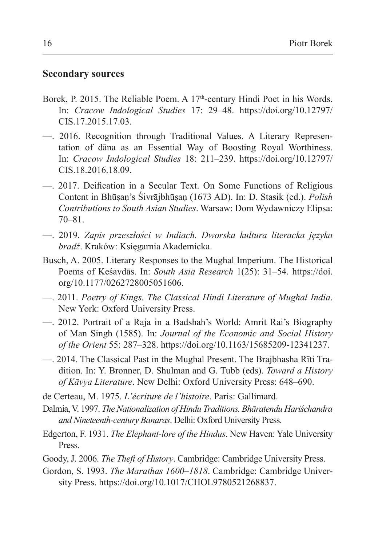#### **Secondary sources**

- Borek, P. 2015. The Reliable Poem. A 17<sup>th</sup>-century Hindi Poet in his Words. In: *Cracow Indological Studies* 17: 29–48. https://doi.org/10.12797/ CIS.17.2015.17.03.
- —. 2016. Recognition through Traditional Values. A Literary Representation of dāna as an Essential Way of Boosting Royal Worthiness. In: *Cracow Indological Studies* 18: 211–239. https://doi.org/10.12797/ CIS.18.2016.18.09.
- —. 2017. Deification in a Secular Text. On Some Functions of Religious Content in Bhūṣaṇ's Śivrājbhūṣaṇ (1673 AD). In: D. Stasik (ed.). *Polish Contributions to South Asian Studies*. Warsaw: Dom Wydawniczy Elipsa: 70–81.
- —. 2019. *Zapis przeszłości w Indiach. Dworska kultura literacka języka bradź*. Kraków: Księgarnia Akademicka.
- Busch, A. 2005. Literary Responses to the Mughal Imperium. The Historical Poems of Keśavdās. In: *South Asia Research* 1(25): 31–54. https://doi. org/10.1177/0262728005051606.
- —. 2011. *Poetry of Kings. The Classical Hindi Literature of Mughal India*. New York: Oxford University Press.
- —. 2012. Portrait of a Raja in a Badshah's World: Amrit Rai's Biography of Man Singh (1585). In: *Journal of the Economic and Social History of the Orient* 55: 287–328. https://doi.org/10.1163/15685209-12341237.
- —. 2014. The Classical Past in the Mughal Present. The Brajbhasha Rīti Tradition. In: Y. Bronner, D. Shulman and G. Tubb (eds). *Toward a History of Kāvya Literature*. New Delhi: Oxford University Press: 648–690.
- de Certeau, M. 1975. *L'écriture de l'histoire*. Paris: Gallimard.
- Dalmia, V. 1997. *The Nationalization of Hindu Traditions. Bhāratendu Hariśchandra and Nineteenth-century Banaras*. Delhi: Oxford University Press.
- Edgerton, F. 1931. *The Elephant-lore of the Hindus*. New Haven: Yale University Press.
- Goody, J. 2006. *The Theft of History*. Cambridge: Cambridge University Press.
- Gordon, S. 1993. *The Marathas 1600–1818*. Cambridge: Cambridge University Press. https://doi.org/10.1017/CHOL9780521268837.